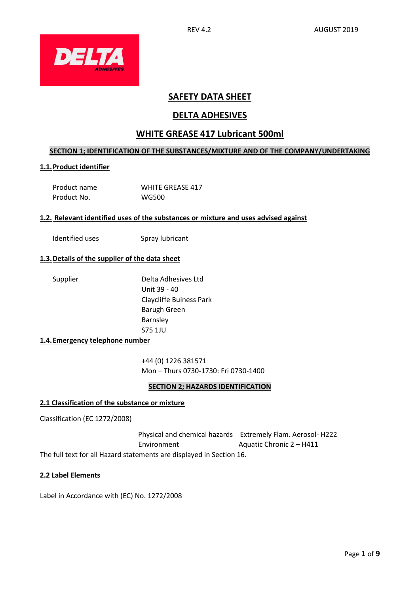

# **SAFETY DATA SHEET**

# **DELTA ADHESIVES**

# **WHITE GREASE 417 Lubricant 500ml**

# **SECTION 1; IDENTIFICATION OF THE SUBSTANCES/MIXTURE AND OF THE COMPANY/UNDERTAKING**

# **1.1.Product identifier**

| Product name | <b>WHITE GREASE 417</b> |
|--------------|-------------------------|
| Product No.  | <b>WG500</b>            |

# **1.2. Relevant identified uses of the substances or mixture and uses advised against**

Identified uses Spray lubricant

# **1.3.Details of the supplier of the data sheet**

Supplier Delta Adhesives Ltd Unit 39 - 40 Claycliffe Buiness Park Barugh Green Barnsley S75 1JU

#### **1.4.Emergency telephone number**

+44 (0) 1226 381571 Mon – Thurs 0730-1730: Fri 0730-1400

# **SECTION 2; HAZARDS IDENTIFICATION**

#### **2.1 Classification of the substance or mixture**

Classification (EC 1272/2008)

 Physical and chemical hazards Extremely Flam. Aerosol- H222 Environment Aquatic Chronic 2 – H411 The full text for all Hazard statements are displayed in Section 16.

#### **2.2 Label Elements**

Label in Accordance with (EC) No. 1272/2008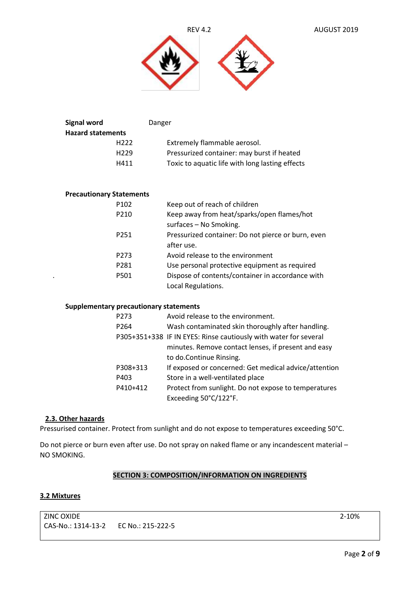



| Danger                                          |
|-------------------------------------------------|
|                                                 |
| Extremely flammable aerosol.                    |
| Pressurized container: may burst if heated      |
| Toxic to aquatic life with long lasting effects |
|                                                 |

# **Precautionary Statements**

|   | P <sub>102</sub> | Keep out of reach of children                      |
|---|------------------|----------------------------------------------------|
|   | P210             | Keep away from heat/sparks/open flames/hot         |
|   |                  | surfaces - No Smoking.                             |
|   | P <sub>251</sub> | Pressurized container: Do not pierce or burn, even |
|   |                  | after use.                                         |
|   | P <sub>273</sub> | Avoid release to the environment                   |
|   | P281             | Use personal protective equipment as required      |
| ٠ | P501             | Dispose of contents/container in accordance with   |
|   |                  | Local Regulations.                                 |

#### **Supplementary precautionary statements**

| P273             | Avoid release to the environment.                                |
|------------------|------------------------------------------------------------------|
| P <sub>264</sub> | Wash contaminated skin thoroughly after handling.                |
|                  | P305+351+338 IF IN EYES: Rinse cautiously with water for several |
|                  | minutes. Remove contact lenses, if present and easy              |
|                  | to do.Continue Rinsing.                                          |
| P308+313         | If exposed or concerned: Get medical advice/attention            |
| P403             | Store in a well-ventilated place                                 |
| P410+412         | Protect from sunlight. Do not expose to temperatures             |
|                  | Exceeding 50°C/122°F.                                            |

# **2.3. Other hazards**

Pressurised container. Protect from sunlight and do not expose to temperatures exceeding 50°C.

Do not pierce or burn even after use. Do not spray on naked flame or any incandescent material – NO SMOKING.

# **SECTION 3: COMPOSITION/INFORMATION ON INGREDIENTS**

#### **3.2 Mixtures**

ZINC OXIDE 2-10% CAS-No.: 1314-13-2 EC No.: 215-222-5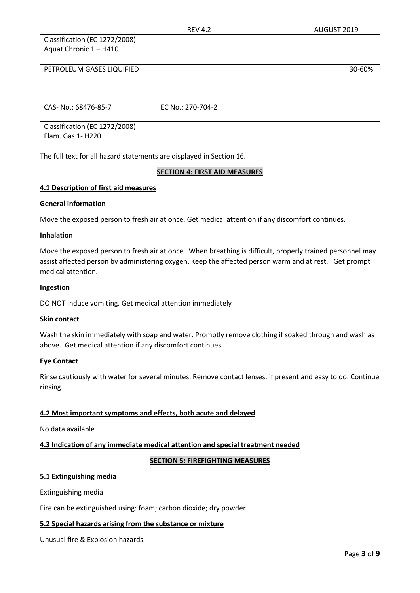Classification (EC 1272/2008) Aquat Chronic 1 – H410

| PETROLEUM GASES LIQUIFIED     |                   | 30-60% |
|-------------------------------|-------------------|--------|
|                               |                   |        |
|                               |                   |        |
| CAS- No.: 68476-85-7          | EC No.: 270-704-2 |        |
|                               |                   |        |
| Classification (EC 1272/2008) |                   |        |
| Flam. Gas 1- H220             |                   |        |

The full text for all hazard statements are displayed in Section 16.

# **SECTION 4: FIRST AID MEASURES**

#### **4.1 Description of first aid measures**

#### **General information**

Move the exposed person to fresh air at once. Get medical attention if any discomfort continues.

#### **Inhalation**

Move the exposed person to fresh air at once. When breathing is difficult, properly trained personnel may assist affected person by administering oxygen. Keep the affected person warm and at rest. Get prompt medical attention.

#### **Ingestion**

DO NOT induce vomiting. Get medical attention immediately

#### **Skin contact**

Wash the skin immediately with soap and water. Promptly remove clothing if soaked through and wash as above. Get medical attention if any discomfort continues.

#### **Eye Contact**

Rinse cautiously with water for several minutes. Remove contact lenses, if present and easy to do. Continue rinsing.

# **4.2 Most important symptoms and effects, both acute and delayed**

No data available

# **4.3 Indication of any immediate medical attention and special treatment needed**

# **SECTION 5: FIREFIGHTING MEASURES**

# **5.1 Extinguishing media**

Extinguishing media

Fire can be extinguished using: foam; carbon dioxide; dry powder

# **5.2 Special hazards arising from the substance or mixture**

Unusual fire & Explosion hazards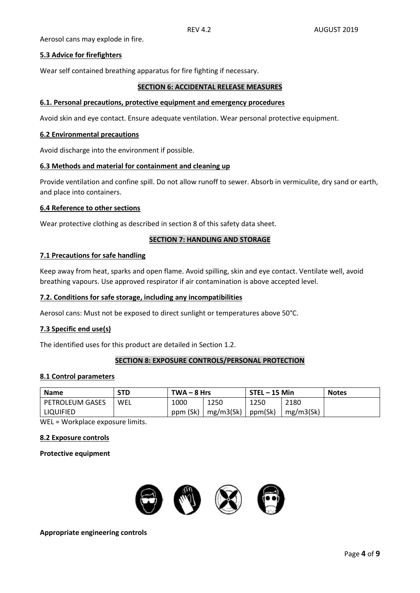Aerosol cans may explode in fire.

# **5.3 Advice for firefighters**

Wear self contained breathing apparatus for fire fighting if necessary.

#### **SECTION 6: ACCIDENTAL RELEASE MEASURES**

#### **6.1. Personal precautions, protective equipment and emergency procedures**

Avoid skin and eye contact. Ensure adequate ventilation. Wear personal protective equipment.

#### **6.2 Environmental precautions**

Avoid discharge into the environment if possible.

#### **6.3 Methods and material for containment and cleaning up**

Provide ventilation and confine spill. Do not allow runoff to sewer. Absorb in vermiculite, dry sand or earth, and place into containers.

#### **6.4 Reference to other sections**

Wear protective clothing as described in section 8 of this safety data sheet.

#### **SECTION 7: HANDLING AND STORAGE**

#### **7.1 Precautions for safe handling**

Keep away from heat, sparks and open flame. Avoid spilling, skin and eye contact. Ventilate well, avoid breathing vapours. Use approved respirator if air contamination is above accepted level.

#### **7.2. Conditions for safe storage, including any incompatibilities**

Aerosol cans: Must not be exposed to direct sunlight or temperatures above 50°C.

# **7.3 Specific end use(s)**

The identified uses for this product are detailed in Section 1.2.

#### **SECTION 8: EXPOSURE CONTROLS/PERSONAL PROTECTION**

#### **8.1 Control parameters**

| <b>Name</b>       | STD | $TWA - 8 Hrs$ |           | STEL - 15 Min |           | <b>Notes</b> |
|-------------------|-----|---------------|-----------|---------------|-----------|--------------|
| l PETROLEUM GASES | WEL | 1000          | 1250      | 1250          | 2180      |              |
| LIQUIFIED         |     | ppm (Sk)      | mg/m3(Sk) | ppm(Sk)       | mg/m3(Sk) |              |

WEL = Workplace exposure limits.

#### **8.2 Exposure controls**

#### **Protective equipment**



**Appropriate engineering controls**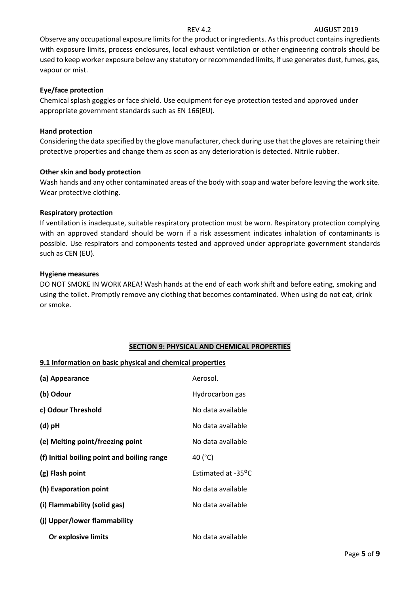# REV 4.2 AUGUST 2019

Observe any occupational exposure limits for the product or ingredients. As this product contains ingredients with exposure limits, process enclosures, local exhaust ventilation or other engineering controls should be used to keep worker exposure below any statutory or recommended limits, if use generates dust, fumes, gas, vapour or mist.

# **Eye/face protection**

Chemical splash goggles or face shield. Use equipment for eye protection tested and approved under appropriate government standards such as EN 166(EU).

#### **Hand protection**

Considering the data specified by the glove manufacturer, check during use that the gloves are retaining their protective properties and change them as soon as any deterioration is detected. Nitrile rubber.

#### **Other skin and body protection**

Wash hands and any other contaminated areas of the body with soap and water before leaving the work site. Wear protective clothing.

#### **Respiratory protection**

If ventilation is inadequate, suitable respiratory protection must be worn. Respiratory protection complying with an approved standard should be worn if a risk assessment indicates inhalation of contaminants is possible. Use respirators and components tested and approved under appropriate government standards such as CEN (EU).

#### **Hygiene measures**

DO NOT SMOKE IN WORK AREA! Wash hands at the end of each work shift and before eating, smoking and using the toilet. Promptly remove any clothing that becomes contaminated. When using do not eat, drink or smoke.

# **SECTION 9: PHYSICAL AND CHEMICAL PROPERTIES**

# **9.1 Information on basic physical and chemical properties**

| (a) Appearance                              | Aerosol.           |
|---------------------------------------------|--------------------|
| (b) Odour                                   | Hydrocarbon gas    |
| c) Odour Threshold                          | No data available  |
| $(d)$ pH                                    | No data available  |
| (e) Melting point/freezing point            | No data available  |
| (f) Initial boiling point and boiling range | 40 (°C)            |
| (g) Flash point                             | Estimated at -35°C |
| (h) Evaporation point                       | No data available  |
| (i) Flammability (solid gas)                | No data available  |
| (j) Upper/lower flammability                |                    |
| Or explosive limits                         | No data available  |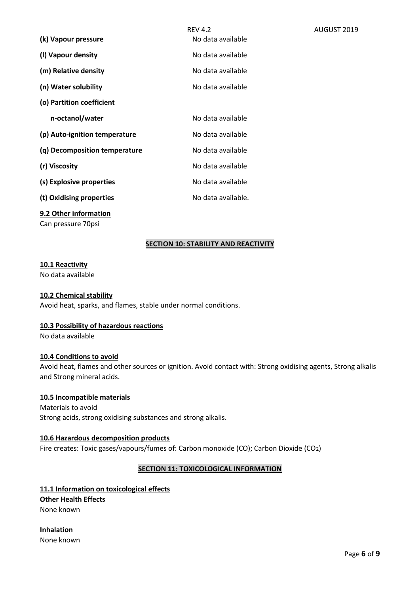| (k) Vapour pressure           | <b>REV 4.2</b><br>No data available | AUGUST 2019 |
|-------------------------------|-------------------------------------|-------------|
| (I) Vapour density            | No data available                   |             |
| (m) Relative density          | No data available                   |             |
| (n) Water solubility          | No data available                   |             |
| (o) Partition coefficient     |                                     |             |
| n-octanol/water               | No data available                   |             |
| (p) Auto-ignition temperature | No data available                   |             |
| (q) Decomposition temperature | No data available                   |             |
| (r) Viscosity                 | No data available                   |             |
| (s) Explosive properties      | No data available                   |             |
| (t) Oxidising properties      | No data available.                  |             |
|                               |                                     |             |

# **9.2 Other information**

Can pressure 70psi

# **SECTION 10: STABILITY AND REACTIVITY**

#### **10.1 Reactivity**

No data available

#### **10.2 Chemical stability**

Avoid heat, sparks, and flames, stable under normal conditions.

# **10.3 Possibility of hazardous reactions**

No data available

# **10.4 Conditions to avoid**

Avoid heat, flames and other sources or ignition. Avoid contact with: Strong oxidising agents, Strong alkalis and Strong mineral acids.

# **10.5 Incompatible materials**

Materials to avoid Strong acids, strong oxidising substances and strong alkalis.

#### **10.6 Hazardous decomposition products**

Fire creates: Toxic gases/vapours/fumes of: Carbon monoxide (CO); Carbon Dioxide (CO2)

# **SECTION 11: TOXICOLOGICAL INFORMATION**

# **11.1 Information on toxicological effects Other Health Effects** None known

**Inhalation** None known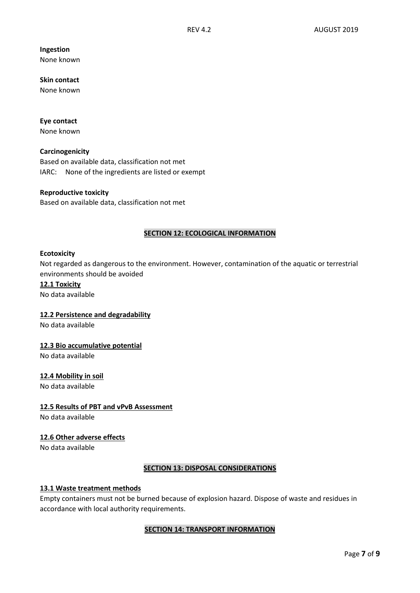# **Ingestion**

None known

**Skin contact**  None known

#### **Eye contact** None known

**Carcinogenicity**

Based on available data, classification not met IARC: None of the ingredients are listed or exempt

# **Reproductive toxicity**

Based on available data, classification not met

# **SECTION 12: ECOLOGICAL INFORMATION**

#### **Ecotoxicity**

Not regarded as dangerous to the environment. However, contamination of the aquatic or terrestrial environments should be avoided

#### **12.1 Toxicity** No data available

# **12.2 Persistence and degradability**

No data available

# **12.3 Bio accumulative potential**

No data available

# **12.4 Mobility in soil**

No data available

# **12.5 Results of PBT and vPvB Assessment**

No data available

# **12.6 Other adverse effects**

No data available

# **SECTION 13: DISPOSAL CONSIDERATIONS**

# **13.1 Waste treatment methods**

Empty containers must not be burned because of explosion hazard. Dispose of waste and residues in accordance with local authority requirements.

# **SECTION 14: TRANSPORT INFORMATION**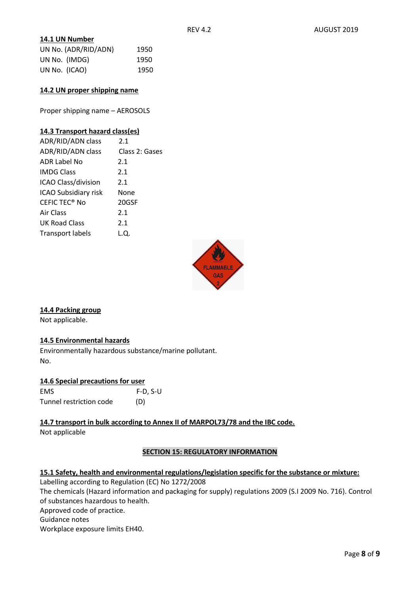# **14.1 UN Number**

| UN No. (ADR/RID/ADN) | 1950 |
|----------------------|------|
| UN No. (IMDG)        | 1950 |
| UN No. (ICAO)        | 1950 |

#### **14.2 UN proper shipping name**

Proper shipping name – AEROSOLS

#### **14.3 Transport hazard class(es)**

| ADR/RID/ADN class               | 2.1            |
|---------------------------------|----------------|
| ADR/RID/ADN class               | Class 2: Gases |
| ADR Label No                    | 2.1            |
| <b>IMDG Class</b>               | 2.1            |
| ICAO Class/division             | 2.1            |
| ICAO Subsidiary risk            | None           |
| <b>CEFIC TEC<sup>®</sup> No</b> | 20GSF          |
| Air Class                       | 2.1            |
| UK Road Class                   | 2.1            |
| <b>Transport labels</b>         | L.O.           |



# **14.4 Packing group**

Not applicable.

# **14.5 Environmental hazards**

Environmentally hazardous substance/marine pollutant. No.

# **14.6 Special precautions for user**

| <b>EMS</b>              | $F-D, S-U$ |
|-------------------------|------------|
| Tunnel restriction code | (D)        |

**14.7 transport in bulk according to Annex II of MARPOL73/78 and the IBC code.**  Not applicable

# **SECTION 15: REGULATORY INFORMATION**

# **15.1 Safety, health and environmental regulations/legislation specific for the substance or mixture:**

Labelling according to Regulation (EC) No 1272/2008 The chemicals (Hazard information and packaging for supply) regulations 2009 (S.I 2009 No. 716). Control of substances hazardous to health.

Approved code of practice.

Guidance notes

Workplace exposure limits EH40.